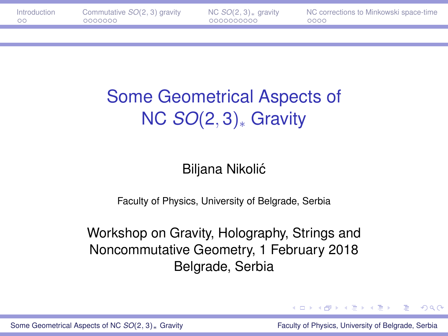# <span id="page-0-0"></span>Some Geometrical Aspects of NC *SO*(2, 3)<sup>∗</sup> Gravity

#### Biljana Nikolic´

Faculty of Physics, University of Belgrade, Serbia

Workshop on Gravity, Holography, Strings and Noncommutative Geometry, 1 February 2018 Belgrade, Serbia

∍

 $\Omega$ 

イロト イ押ト イヨト イヨトー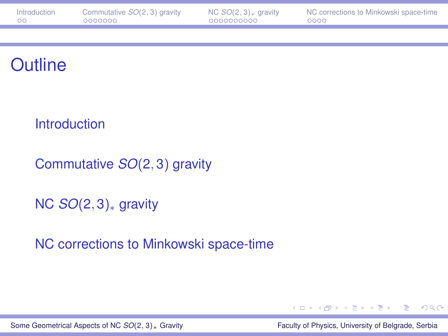| Introduction | Commutative $SO(2, 3)$ gravity | NC $SO(2, 3)$ <sub>*</sub> gravity | NC corrections to Minkowski space-time |
|--------------|--------------------------------|------------------------------------|----------------------------------------|
| - ററ         | 0000000                        | 0000000000                         | 0000                                   |

#### **Outline**

#### **[Introduction](#page-2-0)**

[Commutative](#page-4-0) *SO*(2, 3) gravity

NC *SO*(2, 3)<sup>∗</sup> [gravity](#page-11-0)

[NC corrections to Minkowski space-time](#page-21-0)



[Some Geometrical Aspects of NC](#page-0-0) *SO*(2, 3)<sub><sup>∗</sup></sub> Gravity Faculty Faculty of Physics, University of Belgrade, Serbia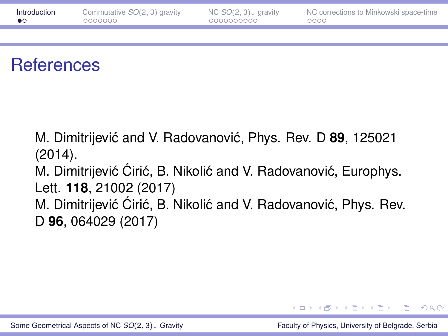<span id="page-2-0"></span>

| Introduction         | Commutative $SO(2, 3)$ gravity | NC $SO(2, 3)$ <sub>*</sub> gravity | NC corrections to Minkowski space-time |
|----------------------|--------------------------------|------------------------------------|----------------------------------------|
| 0000000<br>$\bullet$ |                                | 0000000000                         | 0000                                   |

#### **References**

M. Dimitrijević and V. Radovanović, Phys. Rev. D 89, 125021 (2014).

M. Dimitrijević Ćirić, B. Nikolić and V. Radovanović, Europhys. Lett. **118**, 21002 (2017)

M. Dimitrijević Ćirić, B. Nikolić and V. Radovanović, Phys. Rev. D **96**, 064029 (2017)

④ ヨ ト ④ ヨ ト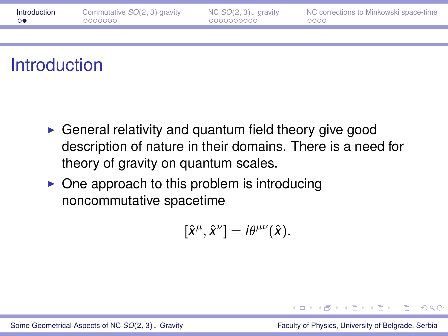| Introduction | Commutative $SO(2, 3)$ gravity | NC $SO(2, 3)$ gravity | NC corrections to Minkowski space-time |
|--------------|--------------------------------|-----------------------|----------------------------------------|
| ≘⊙●          | 0000000                        | 0000000000            | 0000                                   |
|              |                                |                       |                                        |

# **Introduction**

- $\triangleright$  General relativity and quantum field theory give good description of nature in their domains. There is a need for theory of gravity on quantum scales.
- $\triangleright$  One approach to this problem is introducing noncommutative spacetime

$$
[\hat{x}^{\mu},\hat{x}^{\nu}]=i\theta^{\mu\nu}(\hat{x}).
$$

[Some Geometrical Aspects of NC](#page-0-0) *SO*(2, 3)∗ Gravity Faculty of Physics, University of Belgrade, Serbia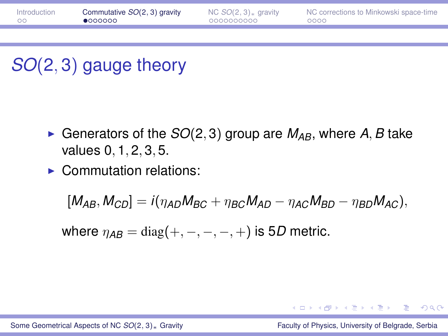<span id="page-4-0"></span>

| Introduction | Commutative SO(2, 3) gravity | NC $SO(2, 3)$ <sub>*</sub> gravity | NC corrections to Minkowski space-time |
|--------------|------------------------------|------------------------------------|----------------------------------------|
| - ററ         | •000000                      | 0000000000                         | 0000                                   |
|              |                              |                                    |                                        |

# *SO*(2, 3) gauge theory

- Generators of the  $SO(2,3)$  group are  $M_{AB}$ , where A, B take values 0, 1, 2, 3, 5.
- $\blacktriangleright$  Commutation relations:

$$
[M_{AB},M_{CD}]=i(\eta_{AD}M_{BC}+\eta_{BC}M_{AD}-\eta_{AC}M_{BD}-\eta_{BD}M_{AC}),
$$

where  $\eta_{AB} = \text{diag}(+,-,-,-,+)$  is 5*D* metric.

イロン イ何 メイヨン イヨン ニヨー

 $200$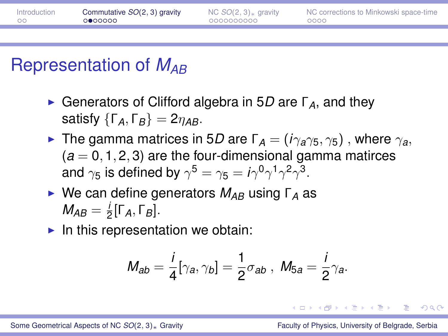| Introduction | Commutative SO(2, 3) gravity | NC $SO(2, 3)$ <sub>*</sub> gravity | NC corrections to Minkowski space-time |
|--------------|------------------------------|------------------------------------|----------------------------------------|
| ററ           | ⊙●ററററ                       | 0000000000                         | 0000                                   |
|              |                              |                                    |                                        |

### Representation of *MAB*

- **EXA** Generators of Clifford algebra in 5D are Γ<sub>A</sub>, and they satisfy  $\{\Gamma_A, \Gamma_B\} = 2\eta_{AB}$ .
- ► The gamma matrices in 5*D* are  $\Gamma_A = (i\gamma_a\gamma_5, \gamma_5)$ , where  $\gamma_a$ ,  $(a = 0.1, 2, 3)$  are the four-dimensional gamma matirces and  $\gamma_5$  is defined by  $\gamma^5=\gamma_5=i\gamma^0\gamma^1\gamma^2\gamma^3.$
- **►** We can define generators  $M_{AB}$  using Γ<sub>A</sub> as  $M_{AB} = \frac{1}{2}$  $rac{1}{2}$ [Γ<sub>A</sub>, Γ<sub>B</sub>].
- $\blacktriangleright$  In this representation we obtain:

$$
M_{ab}=\frac{i}{4}[\gamma_a,\gamma_b]=\frac{1}{2}\sigma_{ab}\ ,\ M_{5a}=\frac{i}{2}\gamma_a.
$$

 $\Omega$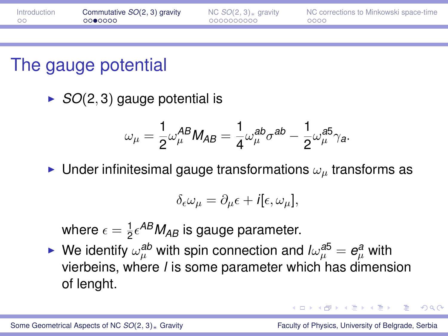| Introduction | Commutative SO(2, 3) gravity | NC $SO(2, 3)$ <sub>*</sub> gravity | NC corrections to Minkowski space-time |
|--------------|------------------------------|------------------------------------|----------------------------------------|
| - ററ         | ററ●റററെ                      | - 0000000000                       | - 0000                                 |
|              |                              |                                    |                                        |

### The gauge potential

 $\triangleright$  *SO*(2, 3) gauge potential is

$$
\omega_\mu = \frac{1}{2} \omega_\mu^{AB} M_{AB} = \frac{1}{4} \omega_\mu^{ab} \sigma^{ab} - \frac{1}{2} \omega_\mu^{a5} \gamma_a.
$$

Inder infinitesimal gauge transformations  $\omega_{\mu}$  transforms as

$$
\delta_{\epsilon}\omega_{\mu}=\partial_{\mu}\epsilon+i[\epsilon,\omega_{\mu}],
$$

where  $\epsilon = \frac{1}{2}$  $\frac{1}{2} \epsilon^{AB} M_{AB}$  is gauge parameter.

► We identify  $\omega_{\mu}^{ab}$  with spin connection and  $l\omega_{\mu}^{a5} = e_{\mu}^{a}$  with vierbeins, where *l* is some parameter which has dimension of lenght.

つひへ

イロト イ押 トイラ トイラトー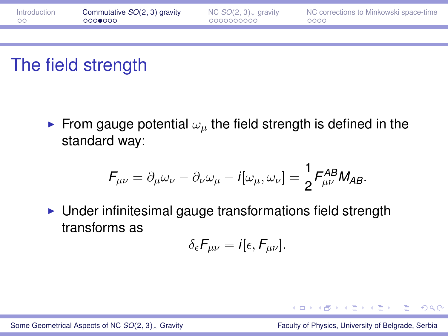| Introduction | Commutative SO(2, 3) gravity | NC $SO(2, 3)$ <sub>*</sub> gravity | NC corrections to Minkowski space-time |
|--------------|------------------------------|------------------------------------|----------------------------------------|
| - ററ         | റററ⊜റററ                      | 0000000000                         | 0000                                   |
|              |                              |                                    |                                        |

### The field strength

From gauge potential  $\omega_{\mu}$  the field strength is defined in the standard way:

$$
F_{\mu\nu} = \partial_{\mu}\omega_{\nu} - \partial_{\nu}\omega_{\mu} - i[\omega_{\mu}, \omega_{\nu}] = \frac{1}{2} F_{\mu\nu}^{AB} M_{AB}.
$$

 $\triangleright$  Under infinitesimal gauge transformations field strength transforms as

$$
\delta_{\epsilon}F_{\mu\nu}=i[\epsilon,F_{\mu\nu}].
$$

[Some Geometrical Aspects of NC](#page-0-0) *SO*(2, 3)<sub><sup>∗</sup></sub> Gravity Faculty Faculty of Physics, University of Belgrade, Serbia

つひへ

 $(0.5, 0.6) \times (0.5, 0.7)$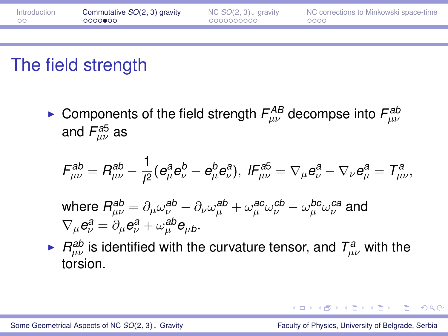| Introduction | Commutative SO(2, 3) gravity | NC $SO(2, 3)$ <sub>*</sub> gravity | NC corrections to Minkowski space-time |
|--------------|------------------------------|------------------------------------|----------------------------------------|
| - ററ         | റററാ⊕ററ                      | - 0000000000                       | 0000                                   |
|              |                              |                                    |                                        |

# The field strength

► Components of the field strength  $F_{\mu\nu}^{AB}$  decompse into  $F_{\mu\nu}^{ab}$ and  $\mathsf{F}^{\mathsf{a5}}_{\mu\nu}$  as

$$
\mathcal{F}^{ab}_{\mu\nu} = \mathcal{R}^{ab}_{\mu\nu} - \frac{1}{l^2} (e^a_\mu e^b_\nu - e^b_\mu e^a_\nu), \ \mathcal{F}^{ab}_{\mu\nu} = \nabla_\mu e^a_\nu - \nabla_\nu e^a_\mu = \mathcal{T}^a_{\mu\nu},
$$

- where  $R^{ab}_{\mu\nu}=\partial_\mu\omega^{ab}_\nu-\partial_\nu\omega^{ab}_\mu+\omega^{ac}_\mu\omega^{cb}_\nu-\omega^{bc}_\mu\omega^{ca}_\nu$  and  $\nabla_{\mu} e_{\nu}^{\mathcal{a}} = \partial_{\mu} e_{\nu}^{\mathcal{a}} + \omega_{\mu}^{\mathcal{ab}} e_{\mu b}.$
- $\blacktriangleright$  *R*<sup>ab</sup> is identified with the curvature tensor, and  $T_{\mu\nu}^a$  with the torsion.

イロト イ押 トイラ トイラ トーラ

 $2QQ$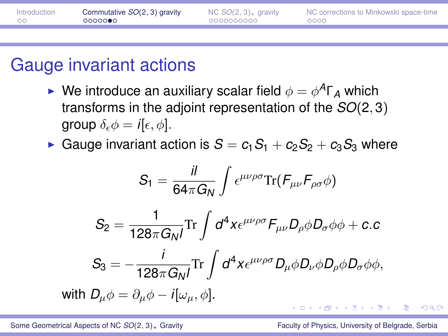| Introduction | Commutative SO(2, 3) gravity | NC $SO(2, 3)$ <sub>*</sub> gravity | NC corrections to Minkowski space-time |
|--------------|------------------------------|------------------------------------|----------------------------------------|
| ററ           | ററററൈ∙െ                      | 0000000000                         | 0000                                   |
|              |                              |                                    |                                        |

#### Gauge invariant actions

- **•** We introduce an auxiliary scalar field  $\phi = \phi^A \Gamma_A$  which transforms in the adjoint representation of the *SO*(2, 3) group  $\delta_{\epsilon} \phi = i[\epsilon, \phi]$ .
- Gauge invariant action is  $S = c_1S_1 + c_2S_2 + c_3S_3$  where

$$
S_1 = \frac{i l}{64\pi G_N} \int \epsilon^{\mu\nu\rho\sigma} \text{Tr}(F_{\mu\nu} F_{\rho\sigma} \phi)
$$

$$
S_2 = \frac{1}{128\pi G_N l} \text{Tr} \int d^4 x \epsilon^{\mu\nu\rho\sigma} F_{\mu\nu} D_\rho \phi D_\sigma \phi \phi + c.c
$$

$$
S_3 = -\frac{i}{128\pi G_N l} \text{Tr} \int d^4 x \epsilon^{\mu\nu\rho\sigma} D_\mu \phi D_\nu \phi D_\rho \phi D_\sigma \phi \phi,
$$
with  $D_\mu \phi = \partial_\mu \phi - i[\omega_\mu, \phi].$ 

つくい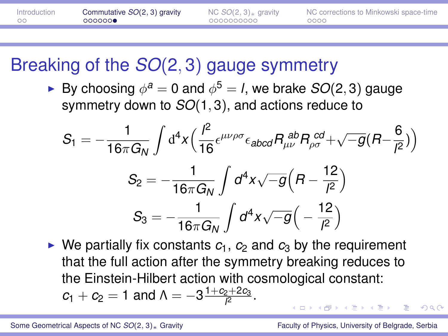| Introduction | Commutative SO(2, 3) gravity | NC $SO(2, 3)$ <sub>*</sub> gravity | NC corrections to Minkowski space-time |
|--------------|------------------------------|------------------------------------|----------------------------------------|
| ററ           | 000000                       | 0000000000                         | 0000                                   |
|              |                              |                                    |                                        |

# Breaking of the *SO*(2, 3) gauge symmetry

► By choosing  $\phi^a = 0$  and  $\phi^5 = I$ , we brake  $SO(2,3)$  gauge symmetry down to *SO*(1, 3), and actions reduce to

$$
S_1 = -\frac{1}{16\pi G_N} \int d^4x \Big( \frac{l^2}{16} \epsilon^{\mu\nu\rho\sigma} \epsilon_{abcd} R_{\mu\nu}^{ab} R_{\rho\sigma}^{cd} + \sqrt{-g} (R - \frac{6}{l^2}) \Big)
$$
  

$$
S_2 = -\frac{1}{16\pi G_N} \int d^4x \sqrt{-g} \Big( R - \frac{12}{l^2} \Big)
$$
  

$$
S_3 = -\frac{1}{16\pi G_N} \int d^4x \sqrt{-g} \Big( -\frac{12}{l^2} \Big)
$$

 $\triangleright$  We partially fix constants  $c_1$ ,  $c_2$  and  $c_3$  by the requirement that the full action after the symmetry breaking reduces to the Einstein-Hilbert action with cosmological constant:  $c_1 + c_2 = 1$  and  $\Lambda = -3 \frac{1 + c_2 + 2c_3}{\beta}$ 2+2C<sub>3</sub>. . . . . . . . . . . <del>.</del> . .

つのへ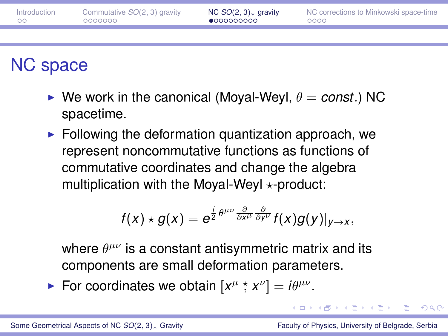<span id="page-11-0"></span>

| Introduction<br>ററ | Commutative SO(2, 3) gravity<br>0000000 | NC $SO(2,3)$ gravity<br>•0000000000 | NC corrections to Minkowski space-time<br>0000 |
|--------------------|-----------------------------------------|-------------------------------------|------------------------------------------------|
|                    |                                         |                                     |                                                |
|                    |                                         |                                     |                                                |

# NC space

- $\triangleright$  We work in the canonical (Moyal-Weyl,  $\theta = const.$ ) NC spacetime.
- $\blacktriangleright$  Following the deformation quantization approach, we represent noncommutative functions as functions of commutative coordinates and change the algebra multiplication with the Moyal-Weyl  $\star$ -product:

$$
f(x)\star g(x)=e^{\frac{i}{2}\theta^{\mu\nu}\frac{\partial}{\partial x^{\mu}}\frac{\partial}{\partial y^{\nu}}}f(x)g(y)|_{y\to x},
$$

where  $\theta^{\mu\nu}$  is a constant antisymmetric matrix and its components are small deformation parameters.

**For coordinates we obtain**  $[x^{\mu} \, \dot{x} \, x^{\nu}] = i\theta^{\mu\nu}$ **.** 

D.  $\Omega$ 

**K ロ ▶ K 何 ▶ K ヨ ▶ K ヨ ▶**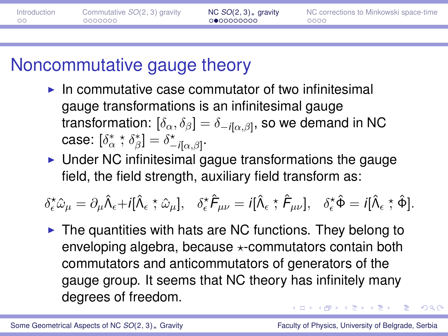| Introduction | Commutative $SO(2, 3)$ gravity | NC $SO(2, 3)$ <sub>*</sub> gravity | NC corrections to Minkowski space-time |
|--------------|--------------------------------|------------------------------------|----------------------------------------|
| ററ           | 0000000                        | 0000000000                         | 0000                                   |
|              |                                |                                    |                                        |

### Noncommutative gauge theory

- $\blacktriangleright$  In commutative case commutator of two infinitesimal gauge transformations is an infinitesimal gauge transformation:  $[\delta_\alpha,\delta_\beta]=\delta_{-i[\alpha,\beta]},$  so we demand in NC case:  $\left[\delta_{\alpha}^* \stackrel{\star}{,} \delta_{\beta}^* \right] = \delta_{-i\left[\alpha,\beta\right]}^{\star}.$
- $\triangleright$  Under NC infinitesimal gague transformations the gauge field, the field strength, auxiliary field transform as:

 $\delta^\star_\epsilon \hat{\omega}_\mu = \partial_\mu \hat{\Lambda}_\epsilon + i[\hat{\Lambda}_\epsilon \stackrel{\star}{,} \hat{\omega}_\mu], \quad \delta^\star_\epsilon \hat{\mathcal{F}}_{\mu\nu} = i[\hat{\Lambda}_\epsilon \stackrel{\star}{,} \hat{\mathcal{F}}_{\mu\nu}], \quad \delta^\star_\epsilon \hat{\Phi} = i[\hat{\Lambda}_\epsilon \stackrel{\star}{,} \hat{\Phi}].$ 

 $\triangleright$  The quantities with hats are NC functions. They belong to enveloping algebra, because  $\star$ -commutators contain both commutators and anticommutators of generators of the gauge group. It seems that NC theory has infinitely many degrees of freedom.  $(0.12.40 \times 10^{-14} \text{ m})$ 

 $\Omega$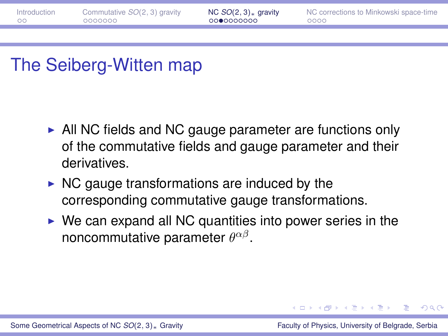| Introduction | Commutative $SO(2, 3)$ gravity | NC $SO(2, 3)$ <sub>*</sub> gravity | NC corrections to Minkowski space-time |
|--------------|--------------------------------|------------------------------------|----------------------------------------|
| ം            | 0000000                        | 0000000000                         | 0000                                   |
|              |                                |                                    |                                        |

### The Seiberg-Witten map

- $\triangleright$  All NC fields and NC gauge parameter are functions only of the commutative fields and gauge parameter and their derivatives.
- $\triangleright$  NC gauge transformations are induced by the corresponding commutative gauge transformations.
- $\triangleright$  We can expand all NC quantities into power series in the noncommutative parameter  $\theta^{\alpha\beta}$ .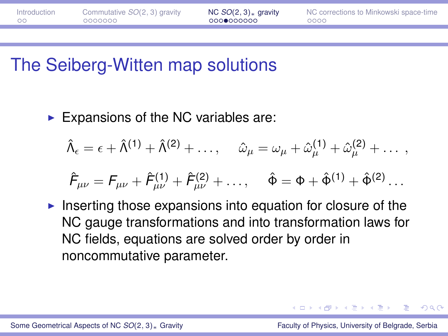# The Seiberg-Witten map solutions

Expansions of the NC variables are:

$$
\hat{\Lambda}_{\epsilon} = \epsilon + \hat{\Lambda}^{(1)} + \hat{\Lambda}^{(2)} + \dots, \quad \hat{\omega}_{\mu} = \omega_{\mu} + \hat{\omega}_{\mu}^{(1)} + \hat{\omega}_{\mu}^{(2)} + \dots,
$$

$$
\hat{F}_{\mu\nu} = F_{\mu\nu} + \hat{F}_{\mu\nu}^{(1)} + \hat{F}_{\mu\nu}^{(2)} + \dots, \quad \hat{\Phi} = \Phi + \hat{\Phi}^{(1)} + \hat{\Phi}^{(2)} \dots
$$

 $\blacktriangleright$  Inserting those expansions into equation for closure of the NC gauge transformations and into transformation laws for NC fields, equations are solved order by order in noncommutative parameter.

つひへ

イロト イ押ト イヨト イヨト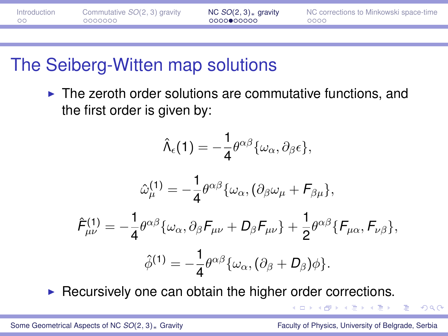| Introduction | Commutative $SO(2, 3)$ gravity | NC $SO(2,3)$ <sub>*</sub> gravity | NC corrections to Minkowski space-time |
|--------------|--------------------------------|-----------------------------------|----------------------------------------|
| ററ           | 0000000                        | 0000000000                        | 0000                                   |
|              |                                |                                   |                                        |

### The Seiberg-Witten map solutions

 $\blacktriangleright$  The zeroth order solutions are commutative functions, and the first order is given by:

$$
\hat{\Lambda}_{\epsilon}(1)=-\frac{1}{4}\theta^{\alpha\beta}\{\omega_{\alpha},\partial_{\beta}\epsilon\},\,
$$

$$
\hat{\omega}_{\mu}^{(1)} = -\frac{1}{4} \theta^{\alpha\beta} {\{\omega_{\alpha}, (\partial_{\beta}\omega_{\mu} + F_{\beta\mu}\}},
$$

$$
\hat{F}_{\mu\nu}^{(1)} = -\frac{1}{4} \theta^{\alpha\beta} {\{\omega_{\alpha}, \partial_{\beta}F_{\mu\nu} + D_{\beta}F_{\mu\nu}\} + \frac{1}{2} \theta^{\alpha\beta} {\{F_{\mu\alpha}, F_{\nu\beta}\}},
$$

$$
\hat{\phi}^{(1)} = -\frac{1}{4} \theta^{\alpha\beta} {\{\omega_{\alpha}, (\partial_{\beta} + D_{\beta})\phi\}}.
$$

 $\triangleright$  Recursively one can obtain the higher order corrections.

化重氮化重氮

 $\Omega$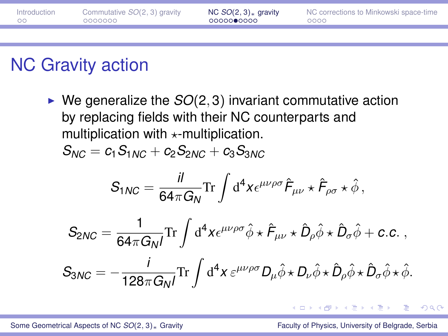| Introduction | Commutative SO(2, 3) gravity | NC $SO(2,3)$ <sub>*</sub> gravity | NC corrections to Minkowski space-time |
|--------------|------------------------------|-----------------------------------|----------------------------------------|
| - ററ         | - 0000000                    | - 00000●0000                      | 0000                                   |
|              |                              |                                   |                                        |

# NC Gravity action

 $\blacktriangleright$  We generalize the  $SO(2,3)$  invariant commutative action by replacing fields with their NC counterparts and multiplication with  $\star$ -multiplication.

$$
S_{NC} = c_1 S_{1NC} + c_2 S_{2NC} + c_3 S_{3NC}
$$

$$
S_{1NC} = \frac{iI}{64\pi G_N} \text{Tr} \int d^4x \epsilon^{\mu\nu\rho\sigma} \hat{F}_{\mu\nu} \star \hat{F}_{\rho\sigma} \star \hat{\phi} ,
$$

$$
S_{2NC} = \frac{1}{64\pi G_N I} \text{Tr} \int d^4x \epsilon^{\mu\nu\rho\sigma} \hat{\phi} \star \hat{F}_{\mu\nu} \star \hat{D}_{\rho} \hat{\phi} \star \hat{D}_{\sigma} \hat{\phi} + c.c. ,
$$
  

$$
S_{3NC} = -\frac{i}{128\pi G_N I} \text{Tr} \int d^4x \epsilon^{\mu\nu\rho\sigma} D_{\mu} \hat{\phi} \star D_{\nu} \hat{\phi} \star \hat{D}_{\rho} \hat{\phi} \star \hat{D}_{\sigma} \hat{\phi} \star \hat{\phi}.
$$

→ 夏 → → 夏 →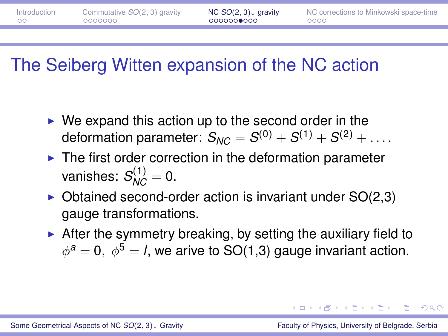| Introduction | Commutative SO(2, 3) gravity | NC $SO(2,3)$ gravity | NC corrections to Minkowski space-time |
|--------------|------------------------------|----------------------|----------------------------------------|
| - ററ         | 0000000                      | , 0000000●000        | 0000                                   |
|              |                              |                      |                                        |

### The Seiberg Witten expansion of the NC action

- $\triangleright$  We expand this action up to the second order in the deformation parameter:  $S_{NC} = S^{(0)} + S^{(1)} + S^{(2)} + \ldots$
- $\blacktriangleright$  The first order correction in the deformation parameter vanishes:  $S_{NC}^{(1)}=0$ .
- $\triangleright$  Obtained second-order action is invariant under SO(2,3) gauge transformations.
- $\triangleright$  After the symmetry breaking, by setting the auxiliary field to  $\phi^{\mathfrak{a}}=0,\;\phi^{\mathfrak{b}}=$  *l*, we arive to SO(1,3) gauge invariant action.

 $\Omega$ 

( ロ ) ( 何 ) ( ヨ ) ( ヨ ) (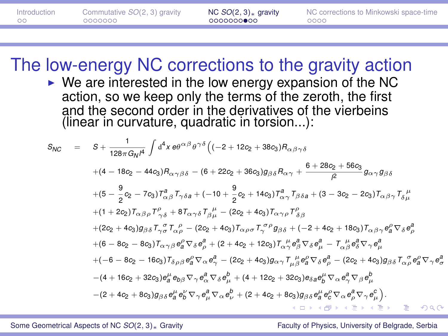| Introduction | Commutative $SO(2, 3)$ gravity | NC $SO(2, 3)$ <sub>*</sub> gravity | NC corrections to Minkowski space-time |
|--------------|--------------------------------|------------------------------------|----------------------------------------|
| ററ           | 0000000                        | 0000000000                         | 0000                                   |
|              |                                |                                    |                                        |

The low-energy NC corrections to the gravity action

 $\triangleright$  We are interested in the low energy expansion of the NC action, so we keep only the terms of the zeroth, the first and the second order in the derivatives of the vierbeins (linear in curvature, quadratic in torsion...):

$$
S_{NC} = S + \frac{1}{128\pi G_N\mu} \int d^4x \, \theta \theta^{\alpha\beta} \theta^{\gamma\delta} \Big( (-2 + 12c_2 + 38c_3) B_{\alpha\beta\gamma\delta} \n+ (4 - 18c_2 - 44c_3) B_{\alpha\gamma\beta\delta} - (6 + 22c_2 + 36c_3) g_{\beta\delta} B_{\alpha\gamma} + \frac{6 + 28c_2 + 56c_3}{\beta} g_{\alpha\gamma} g_{\beta\delta} \n+ (5 - \frac{9}{2}c_2 - 7c_3) T_{\alpha\beta}^2 T_{\gamma\delta\alpha} + (-10 + \frac{9}{2}c_2 + 14c_3) T_{\alpha\gamma}^2 T_{\beta\delta\alpha} + (3 - 3c_2 - 2c_3) T_{\alpha\beta\gamma} T_{\delta\mu}^{\mu} \n+ (1 + 2c_2) T_{\alpha\beta\rho} T_{\gamma\delta}^{\rho} + 8T_{\alpha\gamma\delta} T_{\beta\mu}^{\mu} - (2c_2 + 4c_3) T_{\alpha\gamma\rho} T_{\delta\beta}^{\rho} \n+ (2c_2 + 4c_3) g_{\beta\delta} T_{\gamma\sigma}^{\sigma} T_{\alpha\rho}^{\rho} - (2c_2 + 4c_3) T_{\alpha\rho\sigma} T_{\gamma}^{\sigma\rho} g_{\beta\delta} + (-2 + 4c_2 + 18c_3) T_{\alpha\beta\gamma} e_{\alpha}^{\rho} \nabla_{\delta} e_{\rho}^{\beta} \n+ (6 - 8c_2 - 8c_3) T_{\alpha\gamma\beta} e_{\alpha}^{\rho} \nabla_{\delta} e_{\rho}^{\beta} + (2 + 4c_2 + 12c_3) T_{\alpha\gamma\rho} T_{\rho}^{\mu} e_{\beta}^{\beta} \nabla_{\delta} e_{\mu}^{\beta} - T_{\alpha\beta}^{\mu} e_{\beta}^{\beta} \nabla_{\gamma} e_{\mu}^{\beta} \n+ (-6 - 8c_2 - 16c_3) T_{\delta\rho\beta} e_{\alpha}^{\rho} \nabla_{\alpha} e_{\gamma}^{\alpha} - (2c_2 + 4c_3) g_{\alpha\gamma}
$$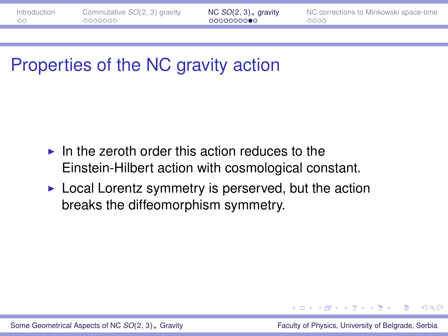# Properties of the NC gravity action

- $\blacktriangleright$  In the zeroth order this action reduces to the Einstein-Hilbert action with cosmological constant.
- $\triangleright$  Local Lorentz symmetry is perserved, but the action breaks the diffeomorphism symmetry.

 $\Omega$ 

イロト イ押ト イヨト イヨト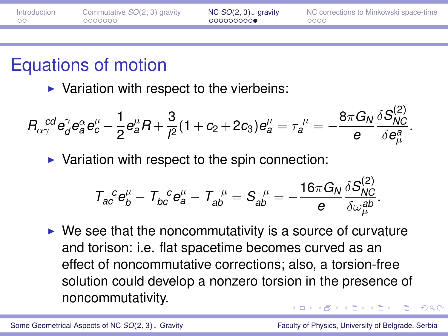<span id="page-20-0"></span>

| Introduction | Commutative SO(2, 3) gravity | NC $SO(2, 3)$ <sub>*</sub> gravity | NC corrections to Minkowski space-time |
|--------------|------------------------------|------------------------------------|----------------------------------------|
| ററ           | 0000000                      | 000000000                          | 0000                                   |
|              |                              |                                    |                                        |

### Equations of motion

 $\triangleright$  Variation with respect to the vierbeins:

$$
R_{\alpha\gamma}^{\ \ \ cd}e_{d}^{\gamma}e_{a}^{\alpha}e_{c}^{\mu}-\frac{1}{2}e_{a}^{\mu}R+\frac{3}{l^{2}}(1+c_{2}+2c_{3})e_{a}^{\mu}=\tau_{a}^{\ \mu}=-\frac{8\pi G_{N}}{e}\frac{\delta S_{NC}^{(2)}}{\delta e_{\mu}^{a}}.
$$

 $\triangleright$  Variation with respect to the spin connection:

$$
\mathcal{T}_{ac}^{\quad c}e_{b}^{\mu}-\mathcal{T}_{bc}^{\quad c}e_{a}^{\mu}-\mathcal{T}_{ab}^{\quad \mu}= \mathcal{S}_{ab}^{\quad \mu}=-\frac{16\pi G_N}{e}\frac{\delta \mathcal{S}_{NC}^{(2)}}{\delta \omega_{\mu}^{ab}}.
$$

 $\triangleright$  We see that the noncommutativity is a source of curvature and torison: i.e. flat spacetime becomes curved as an effect of noncommutative corrections; also, a torsion-free solution could develop a nonzero torsion in the presence of noncommutativity.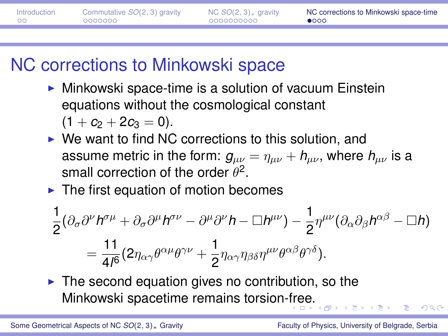<span id="page-21-0"></span>

| Introduction | Commutative $SO(2, 3)$ gravity | NC $SO(2, 3)$ <sub>*</sub> gravity | NC corrections to Minkowski space-time |
|--------------|--------------------------------|------------------------------------|----------------------------------------|
| - ററ         | 0000000                        | 0000000000                         | 0000                                   |
|              |                                |                                    |                                        |

# NC corrections to Minkowski space

- $\triangleright$  Minkowski space-time is a solution of vacuum Einstein equations without the cosmological constant  $(1 + c_2 + 2c_3 = 0).$
- $\triangleright$  We want to find NC corrections to this solution, and assume metric in the form:  $g_{\mu\nu} = \eta_{\mu\nu} + h_{\mu\nu}$ , where  $h_{\mu\nu}$  is a small correction of the order  $\theta^2$ .
- $\blacktriangleright$  The first equation of motion becomes

$$
\frac{1}{2}(\partial_{\sigma}\partial^{\nu}h^{\sigma\mu} + \partial_{\sigma}\partial^{\mu}h^{\sigma\nu} - \partial^{\mu}\partial^{\nu}h - \Box h^{\mu\nu}) - \frac{1}{2}\eta^{\mu\nu}(\partial_{\alpha}\partial_{\beta}h^{\alpha\beta} - \Box h) \n= \frac{11}{4/6}(2\eta_{\alpha\gamma}\theta^{\alpha\mu}\theta^{\gamma\nu} + \frac{1}{2}\eta_{\alpha\gamma}\eta_{\beta\delta}\eta^{\mu\nu}\theta^{\alpha\beta}\theta^{\gamma\delta}).
$$

 $\triangleright$  The second equation gives no contribution, so the Minkowski spacetime remains torsion[-fre](#page-20-0)[e.](#page-22-0)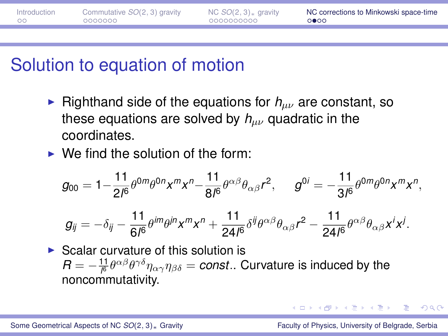<span id="page-22-0"></span>

| Introduction | Commutative $SO(2, 3)$ gravity | NC $SO(2, 3)$ <sub>*</sub> gravity | NC corrections to Minkowski space-time |
|--------------|--------------------------------|------------------------------------|----------------------------------------|
| - ററ         | 0000000                        | 0000000000                         | 0000                                   |
|              |                                |                                    |                                        |

#### Solution to equation of motion

**Fighthand side of the equations for**  $h_{\mu\nu}$  **are constant, so** these equations are solved by  $h_{\mu\nu}$  quadratic in the coordinates.

 $\triangleright$  We find the solution of the form:

$$
g_{00} = 1 - \frac{11}{2l^6} \theta^{0m} \theta^{0n} x^m x^n - \frac{11}{8l^6} \theta^{\alpha\beta} \theta_{\alpha\beta} r^2, \qquad g^{0i} = -\frac{11}{3l^6} \theta^{0m} \theta^{0n} x^m x^n,
$$

$$
g_{ij} = -\delta_{ij} - \frac{11}{6l^6} \theta^{im} \theta^{jn} x^m x^n + \frac{11}{24l^6} \delta^{ij} \theta^{\alpha\beta} \theta_{\alpha\beta} r^2 - \frac{11}{24l^6} \theta^{\alpha\beta} \theta_{\alpha\beta} x^i x^j.
$$

 $\triangleright$  Scalar curvature of this solution is  $R=-\frac{11}{\beta}\theta^{\alpha\beta}\theta^{\gamma\delta}\eta_{\alpha\gamma}\eta_{\beta\delta}=const..$  Curvature is induced by the noncommutativity.

 $\Omega$ 

( ロ ) ( 何 ) ( ヨ ) ( ヨ ) (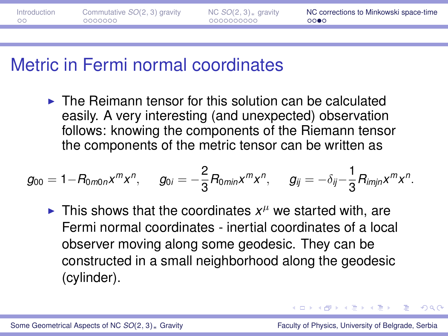| Introduction | Commutative $SO(2, 3)$ gravity | NC $SO(2, 3)$ <sub>*</sub> gravity | NC corrections to Minkowski space-time |
|--------------|--------------------------------|------------------------------------|----------------------------------------|
| - ററ         | 0000000                        | 0000000000                         | 0000                                   |
|              |                                |                                    |                                        |

#### Metric in Fermi normal coordinates

 $\triangleright$  The Reimann tensor for this solution can be calculated easily. A very interesting (and unexpected) observation follows: knowing the components of the Riemann tensor the components of the metric tensor can be written as

$$
g_{00}=1-R_{0m0n}x^mx^n, \qquad g_{0i}=-\frac{2}{3}R_{0min}x^mx^n, \qquad g_{ij}=-\delta_{ij}-\frac{1}{3}R_{imjn}x^mx^n.
$$

If This shows that the coordinates  $x^{\mu}$  we started with, are Fermi normal coordinates - inertial coordinates of a local observer moving along some geodesic. They can be constructed in a small neighborhood along the geodesic (cylinder).

 $\mathcal{A} \cap \mathcal{B} \rightarrow \mathcal{A} \supseteq \mathcal{B} \rightarrow \mathcal{A} \supseteq \mathcal{B}$